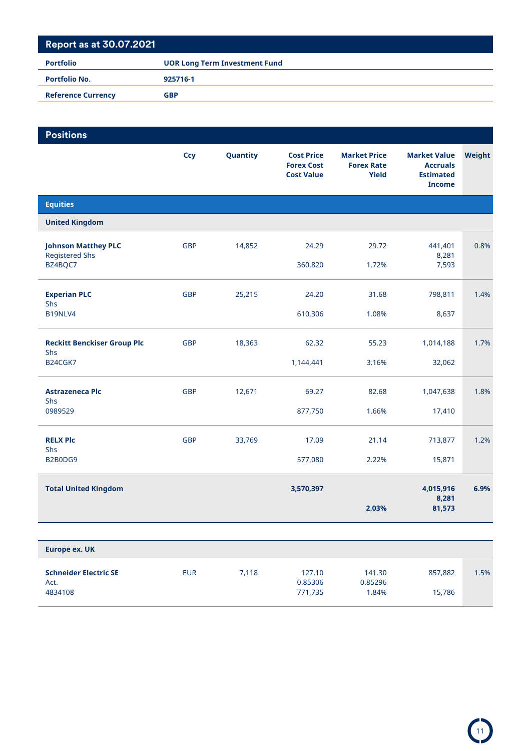| <b>Portfolio</b>          | <b>UOR Long Term Investment Fund</b> |
|---------------------------|--------------------------------------|
| <b>Portfolio No.</b>      | 925716-1                             |
| <b>Reference Currency</b> | <b>GBP</b>                           |

| <b>Positions</b>                                    |            |          |                                                             |                                                          |                                                                             |        |
|-----------------------------------------------------|------------|----------|-------------------------------------------------------------|----------------------------------------------------------|-----------------------------------------------------------------------------|--------|
|                                                     | <b>Ccy</b> | Quantity | <b>Cost Price</b><br><b>Forex Cost</b><br><b>Cost Value</b> | <b>Market Price</b><br><b>Forex Rate</b><br><b>Yield</b> | <b>Market Value</b><br><b>Accruals</b><br><b>Estimated</b><br><b>Income</b> | Weight |
| <b>Equities</b>                                     |            |          |                                                             |                                                          |                                                                             |        |
| <b>United Kingdom</b>                               |            |          |                                                             |                                                          |                                                                             |        |
| <b>Johnson Matthey PLC</b><br><b>Registered Shs</b> | <b>GBP</b> | 14,852   | 24.29                                                       | 29.72                                                    | 441,401<br>8,281                                                            | 0.8%   |
| BZ4BQC7                                             |            |          | 360,820                                                     | 1.72%                                                    | 7,593                                                                       |        |
| <b>Experian PLC</b><br>Shs                          | <b>GBP</b> | 25,215   | 24.20                                                       | 31.68                                                    | 798,811                                                                     | 1.4%   |
| B19NLV4                                             |            |          | 610,306                                                     | 1.08%                                                    | 8,637                                                                       |        |
| <b>Reckitt Benckiser Group Plc</b><br>Shs           | <b>GBP</b> | 18,363   | 62.32                                                       | 55.23                                                    | 1,014,188                                                                   | 1.7%   |
| B24CGK7                                             |            |          | 1,144,441                                                   | 3.16%                                                    | 32,062                                                                      |        |
| <b>Astrazeneca Plc</b><br>Shs                       | <b>GBP</b> | 12,671   | 69.27                                                       | 82.68                                                    | 1,047,638                                                                   | 1.8%   |
| 0989529                                             |            |          | 877,750                                                     | 1.66%                                                    | 17,410                                                                      |        |
| <b>RELX Plc</b><br>Shs                              | <b>GBP</b> | 33,769   | 17.09                                                       | 21.14                                                    | 713,877                                                                     | 1.2%   |
| B2B0DG9                                             |            |          | 577,080                                                     | 2.22%                                                    | 15,871                                                                      |        |
| <b>Total United Kingdom</b>                         |            |          | 3,570,397                                                   |                                                          | 4,015,916<br>8,281                                                          | 6.9%   |
|                                                     |            |          |                                                             | 2.03%                                                    | 81,573                                                                      |        |
|                                                     |            |          |                                                             |                                                          |                                                                             |        |
| <b>Europe ex. UK</b>                                |            |          |                                                             |                                                          |                                                                             |        |

**Schneider Electric SE** EUR 7,118 127.10 141.30 857,882 1.5%

4834108 771,735 1.84% 15,786

Act. 0.85306 0.85296

11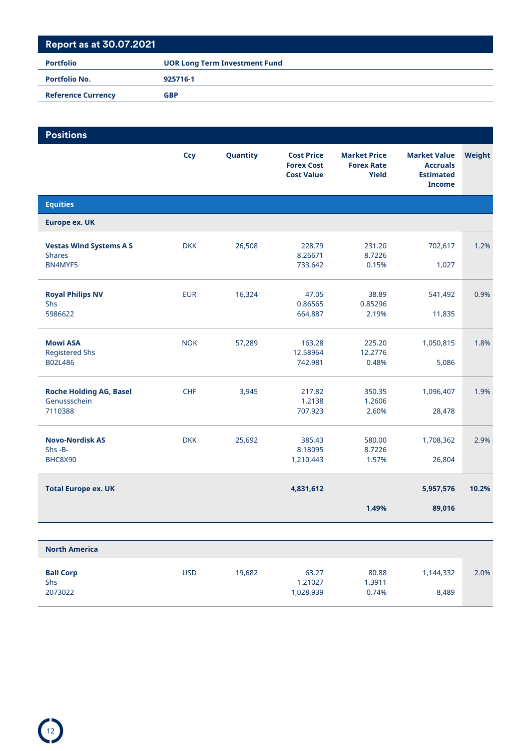| <b>Portfolio</b>          | <b>UOR Long Term Investment Fund</b> |
|---------------------------|--------------------------------------|
| <b>Portfolio No.</b>      | 925716-1                             |
| <b>Reference Currency</b> | <b>GBP</b>                           |

| <b>Positions</b>                                           |            |          |                                                             |                                                          |                                                                             |        |
|------------------------------------------------------------|------------|----------|-------------------------------------------------------------|----------------------------------------------------------|-----------------------------------------------------------------------------|--------|
|                                                            | Ccy        | Quantity | <b>Cost Price</b><br><b>Forex Cost</b><br><b>Cost Value</b> | <b>Market Price</b><br><b>Forex Rate</b><br><b>Yield</b> | <b>Market Value</b><br><b>Accruals</b><br><b>Estimated</b><br><b>Income</b> | Weight |
| <b>Equities</b>                                            |            |          |                                                             |                                                          |                                                                             |        |
| <b>Europe ex. UK</b>                                       |            |          |                                                             |                                                          |                                                                             |        |
| <b>Vestas Wind Systems A S</b><br><b>Shares</b><br>BN4MYF5 | <b>DKK</b> | 26,508   | 228.79<br>8.26671<br>733,642                                | 231.20<br>8.7226<br>0.15%                                | 702,617<br>1,027                                                            | 1.2%   |
| <b>Royal Philips NV</b><br>Shs<br>5986622                  | <b>EUR</b> | 16,324   | 47.05<br>0.86565<br>664,887                                 | 38.89<br>0.85296<br>2.19%                                | 541,492<br>11,835                                                           | 0.9%   |
| <b>Mowi ASA</b><br><b>Registered Shs</b><br>B02L486        | <b>NOK</b> | 57,289   | 163.28<br>12.58964<br>742,981                               | 225.20<br>12.2776<br>0.48%                               | 1,050,815<br>5,086                                                          | 1.8%   |
| <b>Roche Holding AG, Basel</b><br>Genussschein<br>7110388  | <b>CHF</b> | 3,945    | 217.82<br>1.2138<br>707,923                                 | 350.35<br>1.2606<br>2.60%                                | 1,096,407<br>28,478                                                         | 1.9%   |
| <b>Novo-Nordisk AS</b><br>$Shs - B -$<br>BHC8X90           | <b>DKK</b> | 25,692   | 385.43<br>8.18095<br>1,210,443                              | 580.00<br>8.7226<br>1.57%                                | 1,708,362<br>26,804                                                         | 2.9%   |
| <b>Total Europe ex. UK</b>                                 |            |          | 4,831,612                                                   |                                                          | 5,957,576                                                                   | 10.2%  |
|                                                            |            |          |                                                             | 1.49%                                                    | 89,016                                                                      |        |
|                                                            |            |          |                                                             |                                                          |                                                                             |        |

| <b>North America</b>               |            |        |                               |                          |                    |      |
|------------------------------------|------------|--------|-------------------------------|--------------------------|--------------------|------|
| <b>Ball Corp</b><br>Shs<br>2073022 | <b>USD</b> | 19.682 | 63.27<br>1.21027<br>1,028,939 | 80.88<br>1.3911<br>0.74% | 1,144,332<br>8,489 | 2.0% |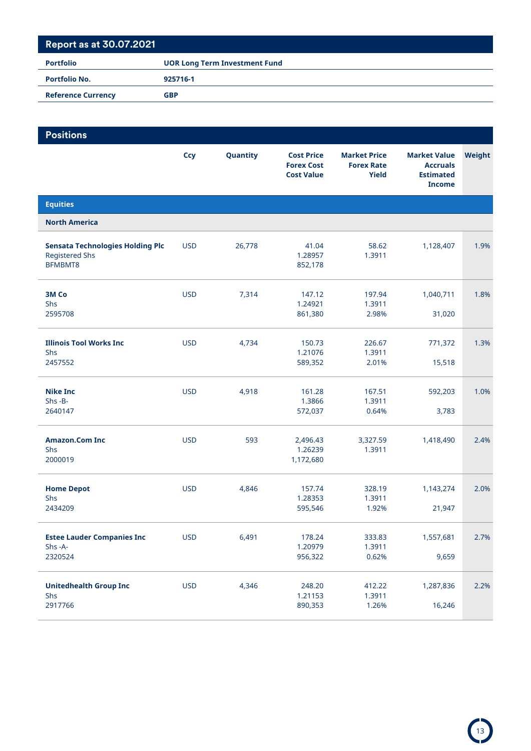| Portfolio                 | <b>UOR Long Term Investment Fund</b> |
|---------------------------|--------------------------------------|
| <b>Portfolio No.</b>      | 925716-1                             |
| <b>Reference Currency</b> | <b>GBP</b>                           |

| <b>Positions</b>                                                            |            |          |                                                             |                                                          |                                                                             |        |
|-----------------------------------------------------------------------------|------------|----------|-------------------------------------------------------------|----------------------------------------------------------|-----------------------------------------------------------------------------|--------|
|                                                                             | <b>Ccy</b> | Quantity | <b>Cost Price</b><br><b>Forex Cost</b><br><b>Cost Value</b> | <b>Market Price</b><br><b>Forex Rate</b><br><b>Yield</b> | <b>Market Value</b><br><b>Accruals</b><br><b>Estimated</b><br><b>Income</b> | Weight |
| <b>Equities</b>                                                             |            |          |                                                             |                                                          |                                                                             |        |
| <b>North America</b>                                                        |            |          |                                                             |                                                          |                                                                             |        |
| <b>Sensata Technologies Holding Plc</b><br><b>Registered Shs</b><br>BFMBMT8 | <b>USD</b> | 26,778   | 41.04<br>1.28957<br>852,178                                 | 58.62<br>1.3911                                          | 1,128,407                                                                   | 1.9%   |
| 3M Co<br>Shs<br>2595708                                                     | <b>USD</b> | 7,314    | 147.12<br>1.24921<br>861,380                                | 197.94<br>1.3911<br>2.98%                                | 1,040,711<br>31,020                                                         | 1.8%   |
| <b>Illinois Tool Works Inc.</b><br>Shs<br>2457552                           | <b>USD</b> | 4,734    | 150.73<br>1.21076<br>589,352                                | 226.67<br>1.3911<br>2.01%                                | 771,372<br>15,518                                                           | 1.3%   |
| <b>Nike Inc</b><br>$Shs - B -$<br>2640147                                   | <b>USD</b> | 4,918    | 161.28<br>1.3866<br>572,037                                 | 167.51<br>1.3911<br>0.64%                                | 592,203<br>3,783                                                            | 1.0%   |
| <b>Amazon.Com Inc</b><br>Shs<br>2000019                                     | <b>USD</b> | 593      | 2,496.43<br>1.26239<br>1,172,680                            | 3,327.59<br>1.3911                                       | 1,418,490                                                                   | 2.4%   |
| <b>Home Depot</b><br>Shs<br>2434209                                         | <b>USD</b> | 4,846    | 157.74<br>1.28353<br>595,546                                | 328.19<br>1.3911<br>1.92%                                | 1,143,274<br>21,947                                                         | 2.0%   |
| <b>Estee Lauder Companies Inc</b><br>Shs-A-<br>2320524                      | <b>USD</b> | 6,491    | 178.24<br>1.20979<br>956,322                                | 333.83<br>1.3911<br>0.62%                                | 1,557,681<br>9,659                                                          | 2.7%   |
| <b>Unitedhealth Group Inc</b><br>Shs<br>2917766                             | <b>USD</b> | 4,346    | 248.20<br>1.21153<br>890,353                                | 412.22<br>1.3911<br>1.26%                                | 1,287,836<br>16,246                                                         | 2.2%   |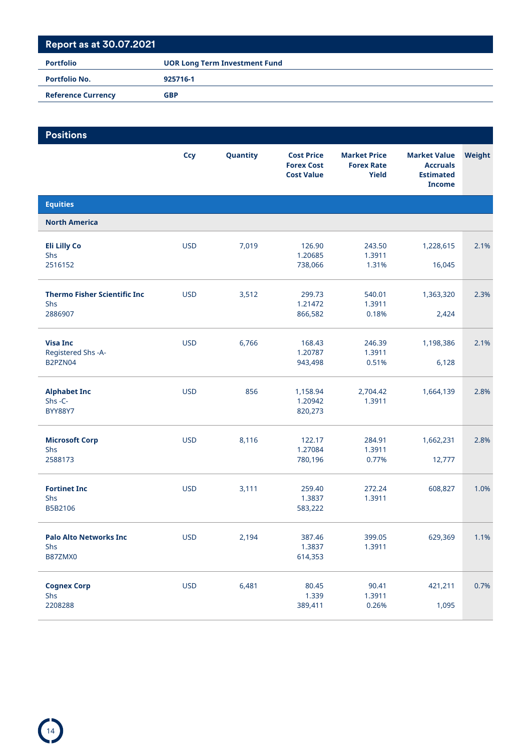| <b>Portfolio</b>          | <b>UOR Long Term Investment Fund</b> |
|---------------------------|--------------------------------------|
| <b>Portfolio No.</b>      | 925716-1                             |
| <b>Reference Currency</b> | <b>GBP</b>                           |

| <b>Positions</b>                                       |            |          |                                                             |                                                   |                                                                             |        |
|--------------------------------------------------------|------------|----------|-------------------------------------------------------------|---------------------------------------------------|-----------------------------------------------------------------------------|--------|
|                                                        | <b>Ccy</b> | Quantity | <b>Cost Price</b><br><b>Forex Cost</b><br><b>Cost Value</b> | <b>Market Price</b><br><b>Forex Rate</b><br>Yield | <b>Market Value</b><br><b>Accruals</b><br><b>Estimated</b><br><b>Income</b> | Weight |
| <b>Equities</b>                                        |            |          |                                                             |                                                   |                                                                             |        |
| <b>North America</b>                                   |            |          |                                                             |                                                   |                                                                             |        |
| <b>Eli Lilly Co</b><br>Shs<br>2516152                  | <b>USD</b> | 7,019    | 126.90<br>1.20685<br>738,066                                | 243.50<br>1.3911<br>1.31%                         | 1,228,615<br>16,045                                                         | 2.1%   |
| <b>Thermo Fisher Scientific Inc.</b><br>Shs<br>2886907 | <b>USD</b> | 3,512    | 299.73<br>1.21472<br>866,582                                | 540.01<br>1.3911<br>0.18%                         | 1,363,320<br>2,424                                                          | 2.3%   |
| <b>Visa Inc</b><br>Registered Shs -A-<br>B2PZN04       | <b>USD</b> | 6,766    | 168.43<br>1.20787<br>943,498                                | 246.39<br>1.3911<br>0.51%                         | 1,198,386<br>6,128                                                          | 2.1%   |
| <b>Alphabet Inc</b><br>Shs-C-<br><b>BYY88Y7</b>        | <b>USD</b> | 856      | 1,158.94<br>1.20942<br>820,273                              | 2,704.42<br>1.3911                                | 1,664,139                                                                   | 2.8%   |
| <b>Microsoft Corp</b><br>Shs<br>2588173                | <b>USD</b> | 8,116    | 122.17<br>1.27084<br>780,196                                | 284.91<br>1.3911<br>0.77%                         | 1,662,231<br>12,777                                                         | 2.8%   |
| <b>Fortinet Inc</b><br>Shs<br>B5B2106                  | <b>USD</b> | 3,111    | 259.40<br>1.3837<br>583,222                                 | 272.24<br>1.3911                                  | 608,827                                                                     | 1.0%   |
| <b>Palo Alto Networks Inc</b><br>Shs<br>B87ZMX0        | <b>USD</b> | 2,194    | 387.46<br>1.3837<br>614,353                                 | 399.05<br>1.3911                                  | 629,369                                                                     | 1.1%   |
| <b>Cognex Corp</b><br>Shs<br>2208288                   | <b>USD</b> | 6,481    | 80.45<br>1.339<br>389,411                                   | 90.41<br>1.3911<br>0.26%                          | 421,211<br>1,095                                                            | 0.7%   |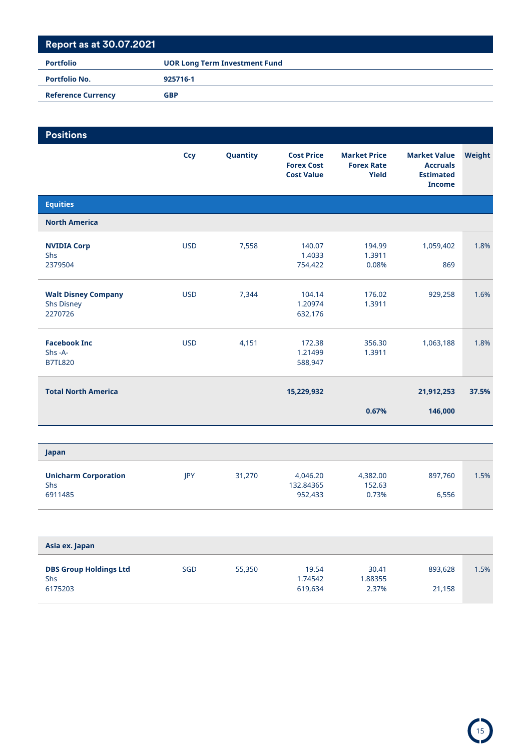| <b>Positions</b>                                           |            |          |                                                             |                                                   |                                                                             |        |
|------------------------------------------------------------|------------|----------|-------------------------------------------------------------|---------------------------------------------------|-----------------------------------------------------------------------------|--------|
|                                                            | <b>Ccy</b> | Quantity | <b>Cost Price</b><br><b>Forex Cost</b><br><b>Cost Value</b> | <b>Market Price</b><br><b>Forex Rate</b><br>Yield | <b>Market Value</b><br><b>Accruals</b><br><b>Estimated</b><br><b>Income</b> | Weight |
| <b>Equities</b>                                            |            |          |                                                             |                                                   |                                                                             |        |
| <b>North America</b>                                       |            |          |                                                             |                                                   |                                                                             |        |
| <b>NVIDIA Corp</b><br><b>Shs</b><br>2379504                | <b>USD</b> | 7,558    | 140.07<br>1.4033<br>754,422                                 | 194.99<br>1.3911<br>0.08%                         | 1,059,402<br>869                                                            | 1.8%   |
| <b>Walt Disney Company</b><br><b>Shs Disney</b><br>2270726 | <b>USD</b> | 7,344    | 104.14<br>1.20974<br>632,176                                | 176.02<br>1.3911                                  | 929,258                                                                     | 1.6%   |
| <b>Facebook Inc</b><br>$Shs - A$ -<br><b>B7TL820</b>       | <b>USD</b> | 4,151    | 172.38<br>1.21499<br>588,947                                | 356.30<br>1.3911                                  | 1,063,188                                                                   | 1.8%   |
| <b>Total North America</b>                                 |            |          | 15,229,932                                                  |                                                   | 21,912,253                                                                  | 37.5%  |
|                                                            |            |          |                                                             | 0.67%                                             | 146,000                                                                     |        |
|                                                            |            |          |                                                             |                                                   |                                                                             |        |

| Japan                       |     |        |           |          |         |      |
|-----------------------------|-----|--------|-----------|----------|---------|------|
| <b>Unicharm Corporation</b> | IPY | 31,270 | 4.046.20  | 4,382.00 | 897.760 | 1.5% |
| <b>Shs</b>                  |     |        | 132.84365 | 152.63   |         |      |
| 6911485                     |     |        | 952,433   | 0.73%    | 6,556   |      |

| Asia ex. Japan                              |            |        |                  |                  |         |      |
|---------------------------------------------|------------|--------|------------------|------------------|---------|------|
| <b>DBS Group Holdings Ltd</b><br><b>Shs</b> | <b>SGD</b> | 55,350 | 19.54<br>1.74542 | 30.41<br>1.88355 | 893,628 | 1.5% |
| 6175203                                     |            |        | 619.634          | 2.37%            | 21,158  |      |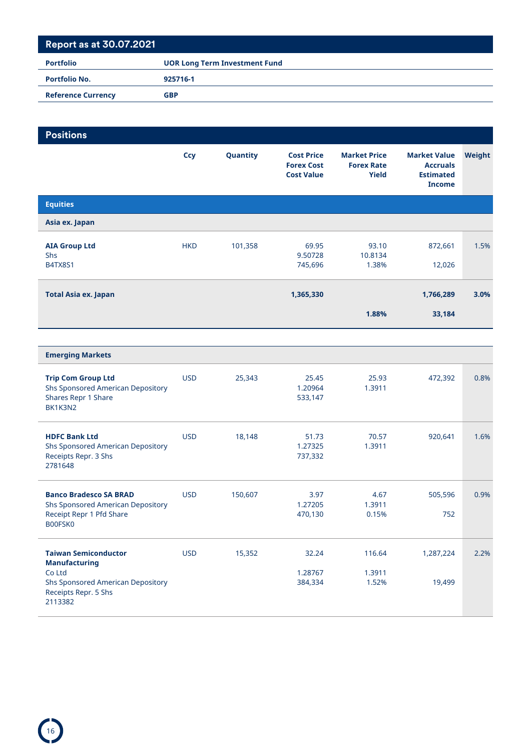| <b>Portfolio</b>          | <b>UOR Long Term Investment Fund</b> |
|---------------------------|--------------------------------------|
| <b>Portfolio No.</b>      | 925716-1                             |
| <b>Reference Currency</b> | GBP                                  |

#### **Positions Ccy Quantity Cost Price Forex Cost Cost Value Market Price Forex Rate Yield Market Value Accruals Estimated Income Weight Equities Asia ex. Japan AIA Group Ltd HKD** 101,358 69.95 93.10 872,661 1.5% Shs 9.50728 10.8134 B4TX8S1 745,696 1.38% 12,026 **Total Asia ex. Japan 1,365,330 1,766,289 3.0% 1.88% 33,184**

| <b>Emerging Markets</b>                                                                                                               |            |         |                             |                           |                     |      |
|---------------------------------------------------------------------------------------------------------------------------------------|------------|---------|-----------------------------|---------------------------|---------------------|------|
| <b>Trip Com Group Ltd</b><br><b>Shs Sponsored American Depository</b><br>Shares Repr 1 Share<br>BK1K3N2                               | <b>USD</b> | 25,343  | 25.45<br>1.20964<br>533,147 | 25.93<br>1.3911           | 472,392             | 0.8% |
| <b>HDFC Bank Ltd</b><br><b>Shs Sponsored American Depository</b><br>Receipts Repr. 3 Shs<br>2781648                                   | <b>USD</b> | 18,148  | 51.73<br>1.27325<br>737,332 | 70.57<br>1.3911           | 920,641             | 1.6% |
| <b>Banco Bradesco SA BRAD</b><br><b>Shs Sponsored American Depository</b><br>Receipt Repr 1 Pfd Share<br>B00FSK0                      | <b>USD</b> | 150,607 | 3.97<br>1.27205<br>470,130  | 4.67<br>1.3911<br>0.15%   | 505,596<br>752      | 0.9% |
| <b>Taiwan Semiconductor</b><br><b>Manufacturing</b><br>Co Ltd<br>Shs Sponsored American Depository<br>Receipts Repr. 5 Shs<br>2113382 | <b>USD</b> | 15,352  | 32.24<br>1.28767<br>384,334 | 116.64<br>1.3911<br>1.52% | 1,287,224<br>19,499 | 2.2% |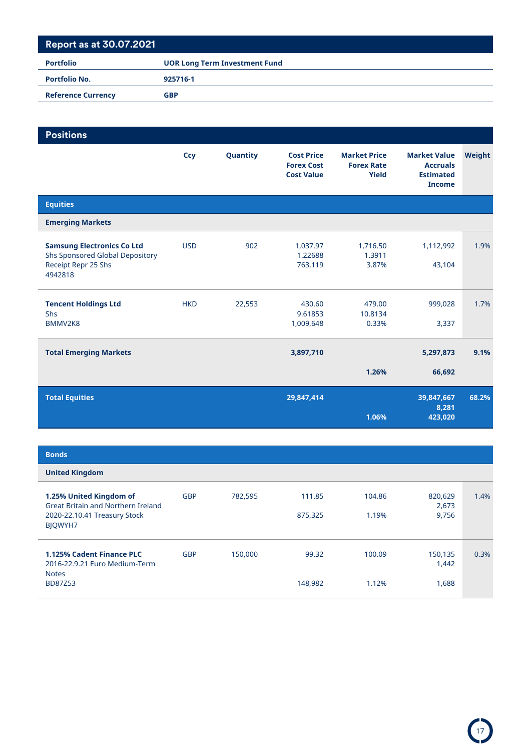| <b>Portfolio</b>          | <b>UOR Long Term Investment Fund</b> |  |  |  |
|---------------------------|--------------------------------------|--|--|--|
| <b>Portfolio No.</b>      | 925716-1                             |  |  |  |
| <b>Reference Currency</b> | <b>GBP</b>                           |  |  |  |

| <b>Positions</b>                                                                                       |            |          |                                                             |                                                          |                                                                             |        |
|--------------------------------------------------------------------------------------------------------|------------|----------|-------------------------------------------------------------|----------------------------------------------------------|-----------------------------------------------------------------------------|--------|
|                                                                                                        | Ccy        | Quantity | <b>Cost Price</b><br><b>Forex Cost</b><br><b>Cost Value</b> | <b>Market Price</b><br><b>Forex Rate</b><br><b>Yield</b> | <b>Market Value</b><br><b>Accruals</b><br><b>Estimated</b><br><b>Income</b> | Weight |
| <b>Equities</b>                                                                                        |            |          |                                                             |                                                          |                                                                             |        |
| <b>Emerging Markets</b>                                                                                |            |          |                                                             |                                                          |                                                                             |        |
| <b>Samsung Electronics Co Ltd</b><br>Shs Sponsored Global Depository<br>Receipt Repr 25 Shs<br>4942818 | <b>USD</b> | 902      | 1,037.97<br>1.22688<br>763,119                              | 1,716.50<br>1.3911<br>3.87%                              | 1,112,992<br>43,104                                                         | 1.9%   |
| <b>Tencent Holdings Ltd</b><br>Shs<br>BMMV2K8                                                          | <b>HKD</b> | 22,553   | 430.60<br>9.61853<br>1,009,648                              | 479.00<br>10.8134<br>0.33%                               | 999,028<br>3,337                                                            | 1.7%   |
| <b>Total Emerging Markets</b>                                                                          |            |          | 3,897,710                                                   |                                                          | 5,297,873                                                                   | 9.1%   |
|                                                                                                        |            |          |                                                             | 1.26%                                                    | 66,692                                                                      |        |
| <b>Total Equities</b>                                                                                  |            |          | 29,847,414                                                  | 1.06%                                                    | 39,847,667<br>8,281<br>423,020                                              | 68.2%  |

| <b>Bonds</b>                                                                      |            |         |         |        |                  |      |
|-----------------------------------------------------------------------------------|------------|---------|---------|--------|------------------|------|
| <b>United Kingdom</b>                                                             |            |         |         |        |                  |      |
| 1.25% United Kingdom of<br>Great Britain and Northern Ireland                     | <b>GBP</b> | 782,595 | 111.85  | 104.86 | 820,629<br>2,673 | 1.4% |
| 2020-22.10.41 Treasury Stock<br>BIOWYH7                                           |            |         | 875,325 | 1.19%  | 9,756            |      |
| <b>1.125% Cadent Finance PLC</b><br>2016-22.9.21 Euro Medium-Term<br><b>Notes</b> | <b>GBP</b> | 150,000 | 99.32   | 100.09 | 150,135<br>1,442 | 0.3% |
| <b>BD87Z53</b>                                                                    |            |         | 148,982 | 1.12%  | 1,688            |      |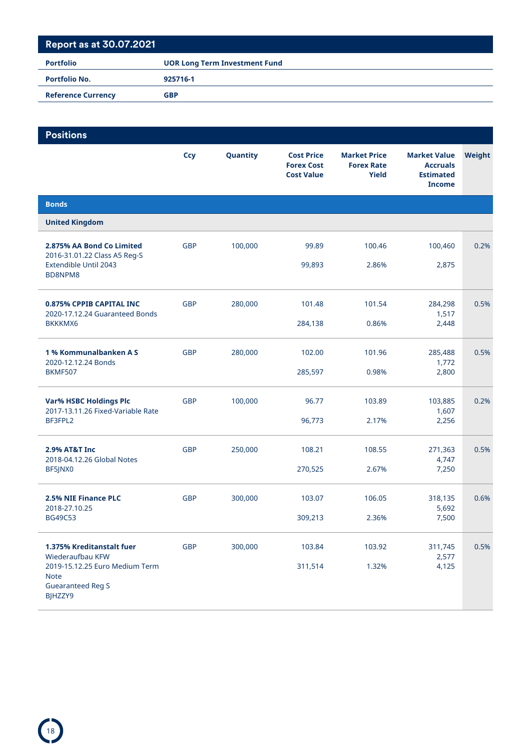| <b>Portfolio</b>          | <b>UOR Long Term Investment Fund</b> |
|---------------------------|--------------------------------------|
| <b>Portfolio No.</b>      | 925716-1                             |
| <b>Reference Currency</b> | <b>GBP</b>                           |

| <b>Positions</b>                                                                     |            |          |                                                             |                                                          |                                                                             |        |
|--------------------------------------------------------------------------------------|------------|----------|-------------------------------------------------------------|----------------------------------------------------------|-----------------------------------------------------------------------------|--------|
|                                                                                      | <b>Ccy</b> | Quantity | <b>Cost Price</b><br><b>Forex Cost</b><br><b>Cost Value</b> | <b>Market Price</b><br><b>Forex Rate</b><br><b>Yield</b> | <b>Market Value</b><br><b>Accruals</b><br><b>Estimated</b><br><b>Income</b> | Weight |
| <b>Bonds</b>                                                                         |            |          |                                                             |                                                          |                                                                             |        |
| <b>United Kingdom</b>                                                                |            |          |                                                             |                                                          |                                                                             |        |
| 2.875% AA Bond Co Limited<br>2016-31.01.22 Class A5 Reg-S                            | <b>GBP</b> | 100,000  | 99.89                                                       | 100.46                                                   | 100,460                                                                     | 0.2%   |
| Extendible Until 2043<br>BD8NPM8                                                     |            |          | 99,893                                                      | 2.86%                                                    | 2,875                                                                       |        |
| 0.875% CPPIB CAPITAL INC<br>2020-17.12.24 Guaranteed Bonds                           | <b>GBP</b> | 280,000  | 101.48                                                      | 101.54                                                   | 284,298<br>1,517                                                            | 0.5%   |
| <b>BKKKMX6</b>                                                                       |            |          | 284,138                                                     | 0.86%                                                    | 2,448                                                                       |        |
| 1% Kommunalbanken A S<br>2020-12.12.24 Bonds                                         | <b>GBP</b> | 280,000  | 102.00                                                      | 101.96                                                   | 285,488<br>1,772                                                            | 0.5%   |
| <b>BKMF507</b>                                                                       |            |          | 285,597                                                     | 0.98%                                                    | 2,800                                                                       |        |
| <b>Var% HSBC Holdings Plc</b><br>2017-13.11.26 Fixed-Variable Rate                   | <b>GBP</b> | 100,000  | 96.77                                                       | 103.89                                                   | 103,885<br>1,607                                                            | 0.2%   |
| BF3FPL2                                                                              |            |          | 96,773                                                      | 2.17%                                                    | 2,256                                                                       |        |
| 2.9% AT&T Inc<br>2018-04.12.26 Global Notes                                          | <b>GBP</b> | 250,000  | 108.21                                                      | 108.55                                                   | 271,363<br>4,747                                                            | 0.5%   |
| BF5JNX0                                                                              |            |          | 270,525                                                     | 2.67%                                                    | 7,250                                                                       |        |
| 2.5% NIE Finance PLC<br>2018-27.10.25                                                | <b>GBP</b> | 300,000  | 103.07                                                      | 106.05                                                   | 318,135<br>5,692                                                            | 0.6%   |
| <b>BG49C53</b>                                                                       |            |          | 309,213                                                     | 2.36%                                                    | 7,500                                                                       |        |
| 1.375% Kreditanstalt fuer<br>Wiederaufbau KFW                                        | <b>GBP</b> | 300,000  | 103.84                                                      | 103.92                                                   | 311,745<br>2,577                                                            | 0.5%   |
| 2019-15.12.25 Euro Medium Term<br><b>Note</b><br><b>Guearanteed Reg S</b><br>BJHZZY9 |            |          | 311,514                                                     | 1.32%                                                    | 4,125                                                                       |        |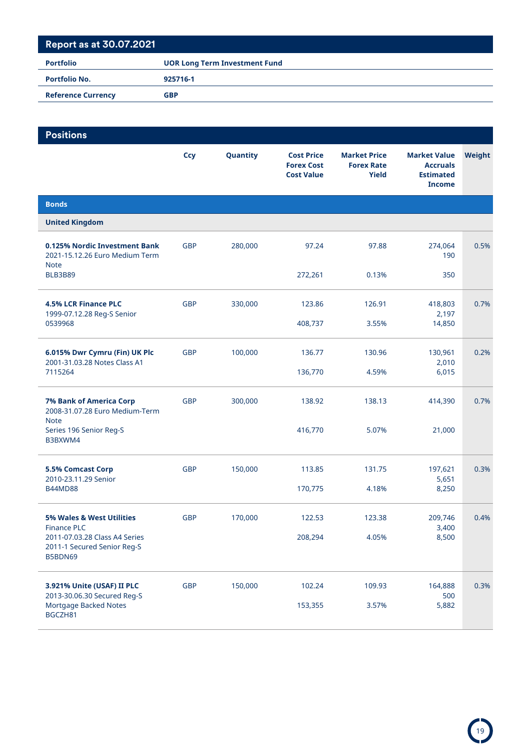| <b>Portfolio</b>          | <b>UOR Long Term Investment Fund</b> |  |  |  |
|---------------------------|--------------------------------------|--|--|--|
| <b>Portfolio No.</b>      | 925716-1                             |  |  |  |
| <b>Reference Currency</b> | <b>GBP</b>                           |  |  |  |

| <b>Positions</b>                                                                |            |          |                                                             |                                                   |                                                                             |        |
|---------------------------------------------------------------------------------|------------|----------|-------------------------------------------------------------|---------------------------------------------------|-----------------------------------------------------------------------------|--------|
|                                                                                 | <b>Ccy</b> | Quantity | <b>Cost Price</b><br><b>Forex Cost</b><br><b>Cost Value</b> | <b>Market Price</b><br><b>Forex Rate</b><br>Yield | <b>Market Value</b><br><b>Accruals</b><br><b>Estimated</b><br><b>Income</b> | Weight |
| <b>Bonds</b>                                                                    |            |          |                                                             |                                                   |                                                                             |        |
| <b>United Kingdom</b>                                                           |            |          |                                                             |                                                   |                                                                             |        |
| 0.125% Nordic Investment Bank<br>2021-15.12.26 Euro Medium Term<br><b>Note</b>  | <b>GBP</b> | 280,000  | 97.24                                                       | 97.88                                             | 274,064<br>190                                                              | 0.5%   |
| <b>BLB3B89</b>                                                                  |            |          | 272,261                                                     | 0.13%                                             | 350                                                                         |        |
| <b>4.5% LCR Finance PLC</b><br>1999-07.12.28 Reg-S Senior                       | <b>GBP</b> | 330,000  | 123.86                                                      | 126.91                                            | 418,803<br>2,197                                                            | 0.7%   |
| 0539968                                                                         |            |          | 408,737                                                     | 3.55%                                             | 14,850                                                                      |        |
| 6.015% Dwr Cymru (Fin) UK Plc<br>2001-31.03.28 Notes Class A1                   | <b>GBP</b> | 100,000  | 136.77                                                      | 130.96                                            | 130,961<br>2,010                                                            | 0.2%   |
| 7115264                                                                         |            |          | 136,770                                                     | 4.59%                                             | 6,015                                                                       |        |
| <b>7% Bank of America Corp</b><br>2008-31.07.28 Euro Medium-Term<br><b>Note</b> | <b>GBP</b> | 300,000  | 138.92                                                      | 138.13                                            | 414,390                                                                     | 0.7%   |
| Series 196 Senior Reg-S<br>B3BXWM4                                              |            |          | 416,770                                                     | 5.07%                                             | 21,000                                                                      |        |
| 5.5% Comcast Corp                                                               | <b>GBP</b> | 150,000  | 113.85                                                      | 131.75                                            | 197,621                                                                     | 0.3%   |
| 2010-23.11.29 Senior<br><b>B44MD88</b>                                          |            |          | 170,775                                                     | 4.18%                                             | 5,651<br>8,250                                                              |        |
| 5% Wales & West Utilities<br><b>Finance PLC</b>                                 | <b>GBP</b> | 170,000  | 122.53                                                      | 123.38                                            | 209,746<br>3,400                                                            | 0.4%   |
| 2011-07.03.28 Class A4 Series<br>2011-1 Secured Senior Reg-S<br>B5BDN69         |            |          | 208,294                                                     | 4.05%                                             | 8,500                                                                       |        |
| 3.921% Unite (USAF) II PLC                                                      | <b>GBP</b> | 150,000  | 102.24                                                      | 109.93                                            | 164,888                                                                     | 0.3%   |
| 2013-30.06.30 Secured Reg-S<br>Mortgage Backed Notes<br>BGCZH81                 |            |          | 153,355                                                     | 3.57%                                             | 500<br>5,882                                                                |        |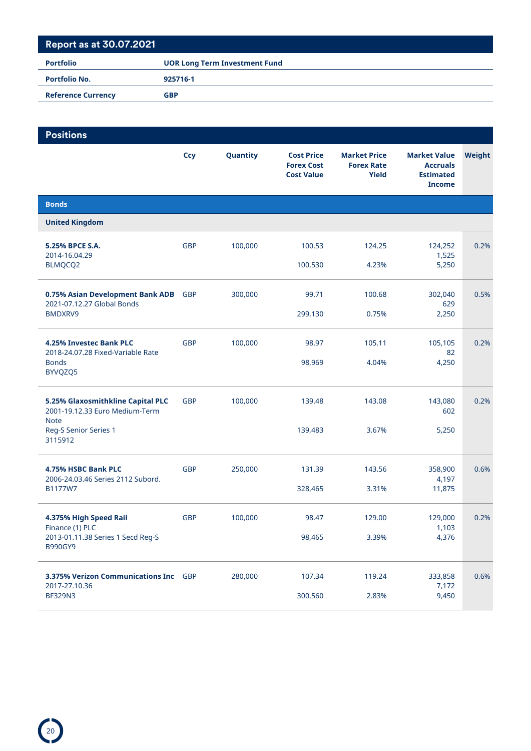| <b>UOR Long Term Investment Fund</b> |
|--------------------------------------|
| 925716-1                             |
| <b>GBP</b>                           |
|                                      |

| <b>Positions</b>                                                    |            |          |                                                             |                                                          |                                                                             |        |
|---------------------------------------------------------------------|------------|----------|-------------------------------------------------------------|----------------------------------------------------------|-----------------------------------------------------------------------------|--------|
|                                                                     | <b>Ccy</b> | Quantity | <b>Cost Price</b><br><b>Forex Cost</b><br><b>Cost Value</b> | <b>Market Price</b><br><b>Forex Rate</b><br><b>Yield</b> | <b>Market Value</b><br><b>Accruals</b><br><b>Estimated</b><br><b>Income</b> | Weight |
| <b>Bonds</b>                                                        |            |          |                                                             |                                                          |                                                                             |        |
| <b>United Kingdom</b>                                               |            |          |                                                             |                                                          |                                                                             |        |
| 5.25% BPCE S.A.<br>2014-16.04.29                                    | <b>GBP</b> | 100,000  | 100.53                                                      | 124.25                                                   | 124,252<br>1,525                                                            | 0.2%   |
| BLMQCQ2                                                             |            |          | 100,530                                                     | 4.23%                                                    | 5,250                                                                       |        |
| 0.75% Asian Development Bank ADB<br>2021-07.12.27 Global Bonds      | <b>GBP</b> | 300,000  | 99.71                                                       | 100.68                                                   | 302,040<br>629                                                              | 0.5%   |
| BMDXRV9                                                             |            |          | 299,130                                                     | 0.75%                                                    | 2,250                                                                       |        |
| 4.25% Investec Bank PLC<br>2018-24.07.28 Fixed-Variable Rate        | <b>GBP</b> | 100,000  | 98.97                                                       | 105.11                                                   | 105,105<br>82                                                               | 0.2%   |
| <b>Bonds</b><br>BYVQZQ5                                             |            |          | 98,969                                                      | 4.04%                                                    | 4,250                                                                       |        |
| 5.25% Glaxosmithkline Capital PLC<br>2001-19.12.33 Euro Medium-Term | <b>GBP</b> | 100,000  | 139.48                                                      | 143.08                                                   | 143,080<br>602                                                              | 0.2%   |
| <b>Note</b><br>Reg-S Senior Series 1<br>3115912                     |            |          | 139,483                                                     | 3.67%                                                    | 5,250                                                                       |        |
| 4.75% HSBC Bank PLC<br>2006-24.03.46 Series 2112 Subord.            | <b>GBP</b> | 250,000  | 131.39                                                      | 143.56                                                   | 358,900<br>4,197                                                            | 0.6%   |
| B1177W7                                                             |            |          | 328,465                                                     | 3.31%                                                    | 11,875                                                                      |        |
| 4.375% High Speed Rail<br>Finance (1) PLC                           | <b>GBP</b> | 100,000  | 98.47                                                       | 129.00                                                   | 129,000<br>1,103                                                            | 0.2%   |
| 2013-01.11.38 Series 1 Secd Reg-S<br>B990GY9                        |            |          | 98,465                                                      | 3.39%                                                    | 4,376                                                                       |        |
| 3.375% Verizon Communications Inc GBP<br>2017-27.10.36              |            | 280,000  | 107.34                                                      | 119.24                                                   | 333,858<br>7,172                                                            | 0.6%   |
| <b>BF329N3</b>                                                      |            |          | 300,560                                                     | 2.83%                                                    | 9,450                                                                       |        |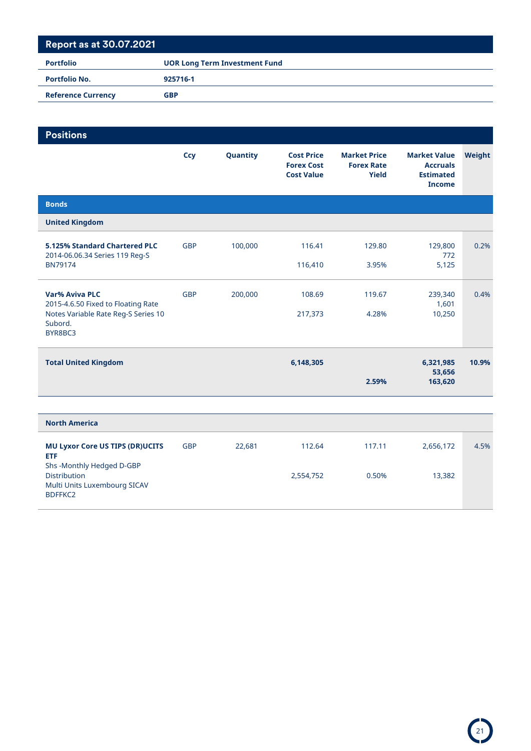| <b>Portfolio</b>          | <b>UOR Long Term Investment Fund</b> |  |  |  |  |
|---------------------------|--------------------------------------|--|--|--|--|
| <b>Portfolio No.</b>      | 925716-1                             |  |  |  |  |
| <b>Reference Currency</b> | <b>GBP</b>                           |  |  |  |  |

| <b>Positions</b>                                                                |            |          |                                                             |                                                          |                                                                             |        |
|---------------------------------------------------------------------------------|------------|----------|-------------------------------------------------------------|----------------------------------------------------------|-----------------------------------------------------------------------------|--------|
|                                                                                 | <b>Ccy</b> | Quantity | <b>Cost Price</b><br><b>Forex Cost</b><br><b>Cost Value</b> | <b>Market Price</b><br><b>Forex Rate</b><br><b>Yield</b> | <b>Market Value</b><br><b>Accruals</b><br><b>Estimated</b><br><b>Income</b> | Weight |
| <b>Bonds</b>                                                                    |            |          |                                                             |                                                          |                                                                             |        |
| <b>United Kingdom</b>                                                           |            |          |                                                             |                                                          |                                                                             |        |
| 5.125% Standard Chartered PLC<br>2014-06.06.34 Series 119 Reg-S                 | <b>GBP</b> | 100,000  | 116.41                                                      | 129.80                                                   | 129,800<br>772                                                              | 0.2%   |
| <b>BN79174</b>                                                                  |            |          | 116,410                                                     | 3.95%                                                    | 5,125                                                                       |        |
| <b>Var% Aviva PLC</b><br>2015-4.6.50 Fixed to Floating Rate                     | <b>GBP</b> | 200,000  | 108.69                                                      | 119.67                                                   | 239,340<br>1,601                                                            | 0.4%   |
| Notes Variable Rate Reg-S Series 10<br>Subord.<br>BYR8BC3                       |            |          | 217,373                                                     | 4.28%                                                    | 10,250                                                                      |        |
| <b>Total United Kingdom</b>                                                     |            |          | 6,148,305                                                   |                                                          | 6,321,985                                                                   | 10.9%  |
|                                                                                 |            |          |                                                             | 2.59%                                                    | 53,656<br>163,620                                                           |        |
|                                                                                 |            |          |                                                             |                                                          |                                                                             |        |
| <b>North America</b>                                                            |            |          |                                                             |                                                          |                                                                             |        |
| <b>MU Lyxor Core US TIPS (DR)UCITS</b><br><b>ETF</b>                            | <b>GBP</b> | 22,681   | 112.64                                                      | 117.11                                                   | 2,656,172                                                                   | 4.5%   |
| Shs-Monthly Hedged D-GBP<br><b>Distribution</b><br>Multi Units Luxembourg SICAV |            |          | 2,554,752                                                   | 0.50%                                                    | 13,382                                                                      |        |
| BDFFKC2                                                                         |            |          |                                                             |                                                          |                                                                             |        |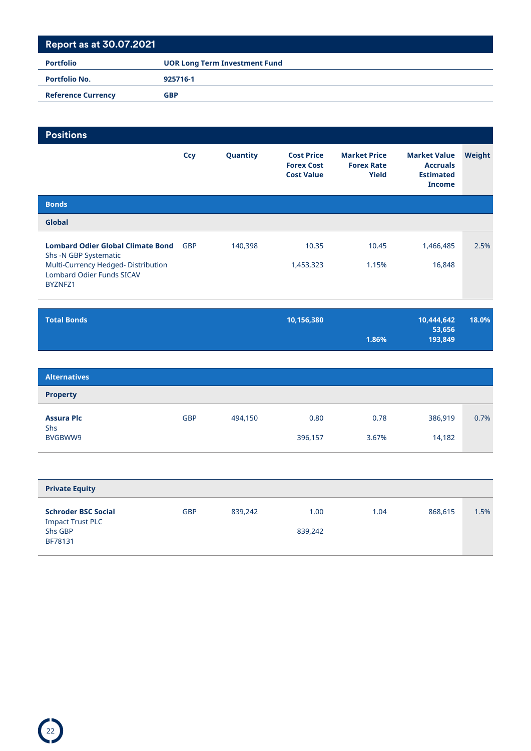| <b>Portfolio</b>          | <b>UOR Long Term Investment Fund</b> |
|---------------------------|--------------------------------------|
| <b>Portfolio No.</b>      | 925716-1                             |
| <b>Reference Currency</b> | GBP                                  |

| <b>Positions</b>                                                                                                                                       |            |          |                                                             |                                                          |                                                                             |        |
|--------------------------------------------------------------------------------------------------------------------------------------------------------|------------|----------|-------------------------------------------------------------|----------------------------------------------------------|-----------------------------------------------------------------------------|--------|
|                                                                                                                                                        | Ccy        | Quantity | <b>Cost Price</b><br><b>Forex Cost</b><br><b>Cost Value</b> | <b>Market Price</b><br><b>Forex Rate</b><br><b>Yield</b> | <b>Market Value</b><br><b>Accruals</b><br><b>Estimated</b><br><b>Income</b> | Weight |
| <b>Bonds</b>                                                                                                                                           |            |          |                                                             |                                                          |                                                                             |        |
| <b>Global</b>                                                                                                                                          |            |          |                                                             |                                                          |                                                                             |        |
| <b>Lombard Odier Global Climate Bond</b><br>Shs -N GBP Systematic<br>Multi-Currency Hedged-Distribution<br><b>Lombard Odier Funds SICAV</b><br>BYZNFZ1 | <b>GBP</b> | 140,398  | 10.35<br>1,453,323                                          | 10.45<br>1.15%                                           | 1,466,485<br>16,848                                                         | 2.5%   |

| <b>Total Bonds</b> | 10,156,380 | 10,444,642 | 18.0% |
|--------------------|------------|------------|-------|
|                    |            | 53,656     |       |
|                    | 1.86%      | 193.849    |       |

| <b>Alternatives</b>                 |            |         |                 |               |                   |      |
|-------------------------------------|------------|---------|-----------------|---------------|-------------------|------|
| <b>Property</b>                     |            |         |                 |               |                   |      |
| <b>Assura Plc</b><br>Shs<br>BVGBWW9 | <b>GBP</b> | 494,150 | 0.80<br>396,157 | 0.78<br>3.67% | 386,919<br>14,182 | 0.7% |

| <b>Private Equity</b>                                                       |            |         |                 |      |         |      |
|-----------------------------------------------------------------------------|------------|---------|-----------------|------|---------|------|
| <b>Schroder BSC Social</b><br><b>Impact Trust PLC</b><br>Shs GBP<br>BF78131 | <b>GBP</b> | 839,242 | 1.00<br>839.242 | 1.04 | 868,615 | 1.5% |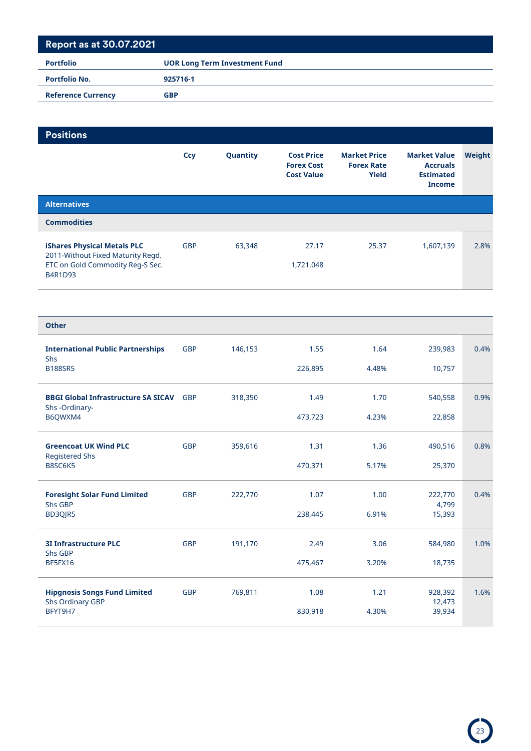| <b>Portfolio</b>          | <b>UOR Long Term Investment Fund</b> |  |  |  |
|---------------------------|--------------------------------------|--|--|--|
| <b>Portfolio No.</b>      | 925716-1                             |  |  |  |
| <b>Reference Currency</b> | <b>GBP</b>                           |  |  |  |

| <b>Positions</b>                                                                                                       |            |          |                                                             |                                                          |                                                                             |        |
|------------------------------------------------------------------------------------------------------------------------|------------|----------|-------------------------------------------------------------|----------------------------------------------------------|-----------------------------------------------------------------------------|--------|
|                                                                                                                        | Ccy        | Quantity | <b>Cost Price</b><br><b>Forex Cost</b><br><b>Cost Value</b> | <b>Market Price</b><br><b>Forex Rate</b><br><b>Yield</b> | <b>Market Value</b><br><b>Accruals</b><br><b>Estimated</b><br><b>Income</b> | Weight |
| <b>Alternatives</b>                                                                                                    |            |          |                                                             |                                                          |                                                                             |        |
| <b>Commodities</b>                                                                                                     |            |          |                                                             |                                                          |                                                                             |        |
| <b>iShares Physical Metals PLC</b><br>2011-Without Fixed Maturity Regd.<br>ETC on Gold Commodity Reg-S Sec.<br>B4R1D93 | <b>GBP</b> | 63,348   | 27.17<br>1,721,048                                          | 25.37                                                    | 1,607,139                                                                   | 2.8%   |

| <b>Other</b>                                                   |            |         |         |       |                   |      |
|----------------------------------------------------------------|------------|---------|---------|-------|-------------------|------|
| <b>International Public Partnerships</b><br>Shs                | <b>GBP</b> | 146,153 | 1.55    | 1.64  | 239,983           | 0.4% |
| <b>B188SR5</b>                                                 |            |         | 226,895 | 4.48% | 10,757            |      |
| <b>BBGI Global Infrastructure SA SICAV</b><br>Shs-Ordinary-    | <b>GBP</b> | 318,350 | 1.49    | 1.70  | 540,558           | 0.9% |
| B6QWXM4                                                        |            |         | 473,723 | 4.23% | 22,858            |      |
| <b>Greencoat UK Wind PLC</b><br><b>Registered Shs</b>          | <b>GBP</b> | 359,616 | 1.31    | 1.36  | 490,516           | 0.8% |
| B8SC6K5                                                        |            |         | 470,371 | 5.17% | 25,370            |      |
| <b>Foresight Solar Fund Limited</b><br>Shs GBP                 | <b>GBP</b> | 222,770 | 1.07    | 1.00  | 222,770<br>4,799  | 0.4% |
| BD3QJR5                                                        |            |         | 238,445 | 6.91% | 15,393            |      |
| <b>3I Infrastructure PLC</b><br>Shs GBP                        | <b>GBP</b> | 191,170 | 2.49    | 3.06  | 584,980           | 1.0% |
| BF5FX16                                                        |            |         | 475,467 | 3.20% | 18,735            |      |
| <b>Hipgnosis Songs Fund Limited</b><br><b>Shs Ordinary GBP</b> | <b>GBP</b> | 769,811 | 1.08    | 1.21  | 928,392<br>12,473 | 1.6% |
| BFYT9H7                                                        |            |         | 830,918 | 4.30% | 39,934            |      |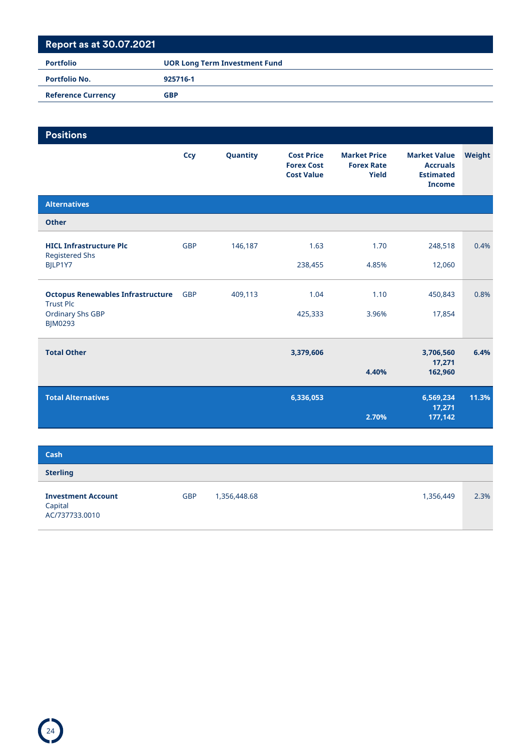| <b>Portfolio</b>          | <b>UOR Long Term Investment Fund</b> |
|---------------------------|--------------------------------------|
| <b>Portfolio No.</b>      | 925716-1                             |
| <b>Reference Currency</b> | <b>GBP</b>                           |

| <b>Positions</b>                                                   |            |          |                                                             |                                                   |                                                                             |        |
|--------------------------------------------------------------------|------------|----------|-------------------------------------------------------------|---------------------------------------------------|-----------------------------------------------------------------------------|--------|
|                                                                    | <b>Ccy</b> | Quantity | <b>Cost Price</b><br><b>Forex Cost</b><br><b>Cost Value</b> | <b>Market Price</b><br><b>Forex Rate</b><br>Yield | <b>Market Value</b><br><b>Accruals</b><br><b>Estimated</b><br><b>Income</b> | Weight |
| <b>Alternatives</b>                                                |            |          |                                                             |                                                   |                                                                             |        |
| <b>Other</b>                                                       |            |          |                                                             |                                                   |                                                                             |        |
| <b>HICL Infrastructure Plc</b><br><b>Registered Shs</b><br>BJLP1Y7 | <b>GBP</b> | 146,187  | 1.63<br>238,455                                             | 1.70<br>4.85%                                     | 248,518<br>12,060                                                           | 0.4%   |
|                                                                    |            |          |                                                             |                                                   |                                                                             |        |
| <b>Octopus Renewables Infrastructure</b><br><b>Trust Plc</b>       | <b>GBP</b> | 409,113  | 1.04                                                        | 1.10                                              | 450,843                                                                     | 0.8%   |
| <b>Ordinary Shs GBP</b><br><b>BJM0293</b>                          |            |          | 425,333                                                     | 3.96%                                             | 17,854                                                                      |        |
| <b>Total Other</b>                                                 |            |          | 3,379,606                                                   | 4.40%                                             | 3,706,560<br>17,271<br>162,960                                              | 6.4%   |
| <b>Total Alternatives</b>                                          |            |          | 6,336,053                                                   | 2.70%                                             | 6,569,234<br>17,271<br>177,142                                              | 11.3%  |
|                                                                    |            |          |                                                             |                                                   |                                                                             |        |

| Cash                                                   |            |              |           |      |
|--------------------------------------------------------|------------|--------------|-----------|------|
| <b>Sterling</b>                                        |            |              |           |      |
| <b>Investment Account</b><br>Capital<br>AC/737733.0010 | <b>GBP</b> | 1,356,448.68 | 1,356,449 | 2.3% |